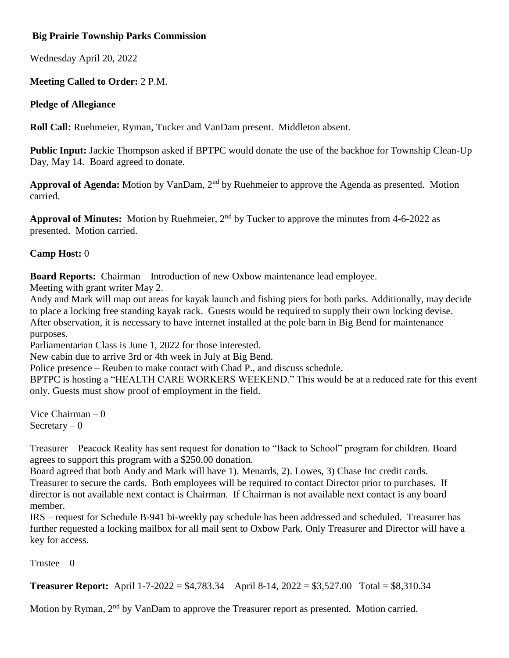# **Big Prairie Township Parks Commission**

Wednesday April 20, 2022

# **Meeting Called to Order:** 2 P.M.

### **Pledge of Allegiance**

**Roll Call:** Ruehmeier, Ryman, Tucker and VanDam present. Middleton absent.

**Public Input:** Jackie Thompson asked if BPTPC would donate the use of the backhoe for Township Clean-Up Day, May 14. Board agreed to donate.

**Approval of Agenda:** Motion by VanDam, 2nd by Ruehmeier to approve the Agenda as presented. Motion carried.

**Approval of Minutes:** Motion by Ruehmeier, 2nd by Tucker to approve the minutes from 4-6-2022 as presented. Motion carried.

## **Camp Host:** 0

**Board Reports:** Chairman – Introduction of new Oxbow maintenance lead employee.

Meeting with grant writer May 2.

Andy and Mark will map out areas for kayak launch and fishing piers for both parks. Additionally, may decide to place a locking free standing kayak rack. Guests would be required to supply their own locking devise. After observation, it is necessary to have internet installed at the pole barn in Big Bend for maintenance purposes.

Parliamentarian Class is June 1, 2022 for those interested.

New cabin due to arrive 3rd or 4th week in July at Big Bend.

Police presence – Reuben to make contact with Chad P., and discuss schedule.

BPTPC is hosting a "HEALTH CARE WORKERS WEEKEND." This would be at a reduced rate for this event only. Guests must show proof of employment in the field.

Vice Chairman – 0 Secretary  $-0$ 

Treasurer – Peacock Reality has sent request for donation to "Back to School" program for children. Board agrees to support this program with a \$250.00 donation.

Board agreed that both Andy and Mark will have 1). Menards, 2). Lowes, 3) Chase Inc credit cards. Treasurer to secure the cards. Both employees will be required to contact Director prior to purchases. If director is not available next contact is Chairman. If Chairman is not available next contact is any board member.

IRS – request for Schedule B-941 bi-weekly pay schedule has been addressed and scheduled. Treasurer has further requested a locking mailbox for all mail sent to Oxbow Park. Only Treasurer and Director will have a key for access.

Trustee  $-0$ 

**Treasurer Report:** April 1-7-2022 = \$4,783.34 April 8-14, 2022 = \$3,527.00 Total = \$8,310.34

Motion by Ryman, 2<sup>nd</sup> by VanDam to approve the Treasurer report as presented. Motion carried.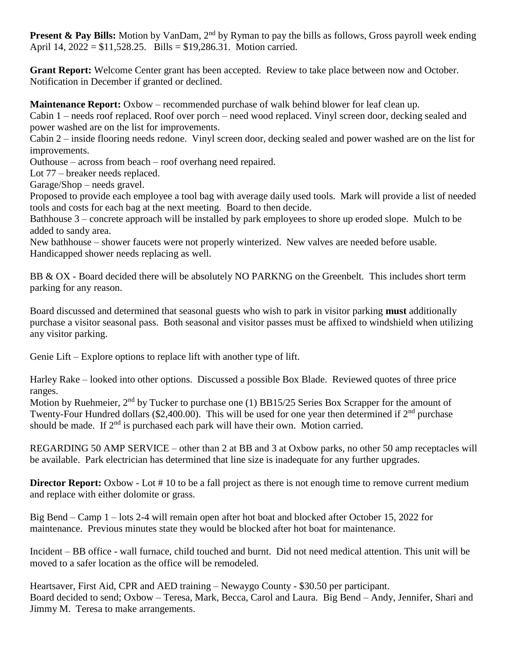**Present & Pay Bills:** Motion by VanDam, 2<sup>nd</sup> by Ryman to pay the bills as follows, Gross payroll week ending April 14, 2022 = \$11,528.25. Bills = \$19,286.31. Motion carried.

**Grant Report:** Welcome Center grant has been accepted. Review to take place between now and October. Notification in December if granted or declined.

**Maintenance Report:** Oxbow – recommended purchase of walk behind blower for leaf clean up.

Cabin 1 – needs roof replaced. Roof over porch – need wood replaced. Vinyl screen door, decking sealed and power washed are on the list for improvements.

Cabin 2 – inside flooring needs redone. Vinyl screen door, decking sealed and power washed are on the list for improvements.

Outhouse – across from beach – roof overhang need repaired.

Lot 77 – breaker needs replaced.

Garage/Shop – needs gravel.

Proposed to provide each employee a tool bag with average daily used tools. Mark will provide a list of needed tools and costs for each bag at the next meeting. Board to then decide.

Bathhouse 3 – concrete approach will be installed by park employees to shore up eroded slope. Mulch to be added to sandy area.

New bathhouse – shower faucets were not properly winterized. New valves are needed before usable. Handicapped shower needs replacing as well.

BB & OX - Board decided there will be absolutely NO PARKNG on the Greenbelt. This includes short term parking for any reason.

Board discussed and determined that seasonal guests who wish to park in visitor parking **must** additionally purchase a visitor seasonal pass. Both seasonal and visitor passes must be affixed to windshield when utilizing any visitor parking.

Genie Lift – Explore options to replace lift with another type of lift.

Harley Rake – looked into other options. Discussed a possible Box Blade. Reviewed quotes of three price ranges.

Motion by Ruehmeier,  $2<sup>nd</sup>$  by Tucker to purchase one (1) BB15/25 Series Box Scrapper for the amount of Twenty-Four Hundred dollars (\$2,400.00). This will be used for one year then determined if  $2<sup>nd</sup>$  purchase should be made. If  $2<sup>nd</sup>$  is purchased each park will have their own. Motion carried.

REGARDING 50 AMP SERVICE – other than 2 at BB and 3 at Oxbow parks, no other 50 amp receptacles will be available. Park electrician has determined that line size is inadequate for any further upgrades.

**Director Report:** Oxbow - Lot #10 to be a fall project as there is not enough time to remove current medium and replace with either dolomite or grass.

Big Bend – Camp 1 – lots 2-4 will remain open after hot boat and blocked after October 15, 2022 for maintenance. Previous minutes state they would be blocked after hot boat for maintenance.

Incident – BB office - wall furnace, child touched and burnt. Did not need medical attention. This unit will be moved to a safer location as the office will be remodeled.

Heartsaver, First Aid, CPR and AED training – Newaygo County - \$30.50 per participant. Board decided to send; Oxbow – Teresa, Mark, Becca, Carol and Laura. Big Bend – Andy, Jennifer, Shari and Jimmy M. Teresa to make arrangements.